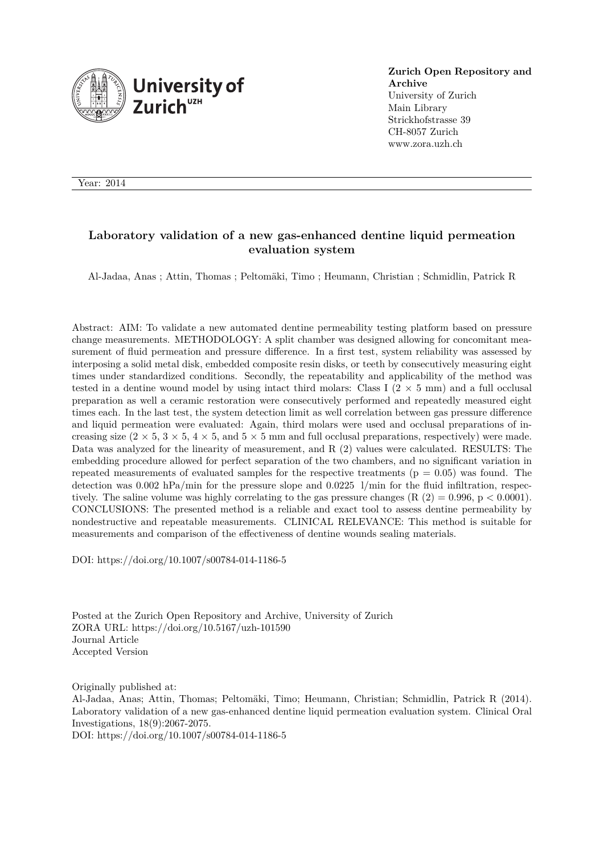

**Zurich Open Repository and Archive** University of Zurich Main Library Strickhofstrasse 39 CH-8057 Zurich www.zora.uzh.ch

Year: 2014

## **Laboratory validation of a new gas-enhanced dentine liquid permeation evaluation system**

Al-Jadaa, Anas ; Attin, Thomas ; Peltomäki, Timo ; Heumann, Christian ; Schmidlin, Patrick R

Abstract: AIM: To validate a new automated dentine permeability testing platform based on pressure change measurements. METHODOLOGY: A split chamber was designed allowing for concomitant measurement of fluid permeation and pressure difference. In a first test, system reliability was assessed by interposing a solid metal disk, embedded composite resin disks, or teeth by consecutively measuring eight times under standardized conditions. Secondly, the repeatability and applicability of the method was tested in a dentine wound model by using intact third molars: Class I  $(2 \times 5 \text{ mm})$  and a full occlusal preparation as well a ceramic restoration were consecutively performed and repeatedly measured eight times each. In the last test, the system detection limit as well correlation between gas pressure difference and liquid permeation were evaluated: Again, third molars were used and occlusal preparations of increasing size  $(2 \times 5, 3 \times 5, 4 \times 5, \text{ and } 5 \times 5 \text{ mm and full occlusal preparations, respectively})$  were made. Data was analyzed for the linearity of measurement, and R (2) values were calculated. RESULTS: The embedding procedure allowed for perfect separation of the two chambers, and no significant variation in repeated measurements of evaluated samples for the respective treatments ( $p = 0.05$ ) was found. The detection was  $0.002$  hPa/min for the pressure slope and  $0.0225$  1/min for the fluid infiltration, respectively. The saline volume was highly correlating to the gas pressure changes  $(R (2) = 0.996, p < 0.0001)$ . CONCLUSIONS: The presented method is a reliable and exact tool to assess dentine permeability by nondestructive and repeatable measurements. CLINICAL RELEVANCE: This method is suitable for measurements and comparison of the effectiveness of dentine wounds sealing materials.

DOI: https://doi.org/10.1007/s00784-014-1186-5

Posted at the Zurich Open Repository and Archive, University of Zurich ZORA URL: https://doi.org/10.5167/uzh-101590 Journal Article Accepted Version

Originally published at:

Al-Jadaa, Anas; Attin, Thomas; Peltomäki, Timo; Heumann, Christian; Schmidlin, Patrick R (2014). Laboratory validation of a new gas-enhanced dentine liquid permeation evaluation system. Clinical Oral Investigations, 18(9):2067-2075.

DOI: https://doi.org/10.1007/s00784-014-1186-5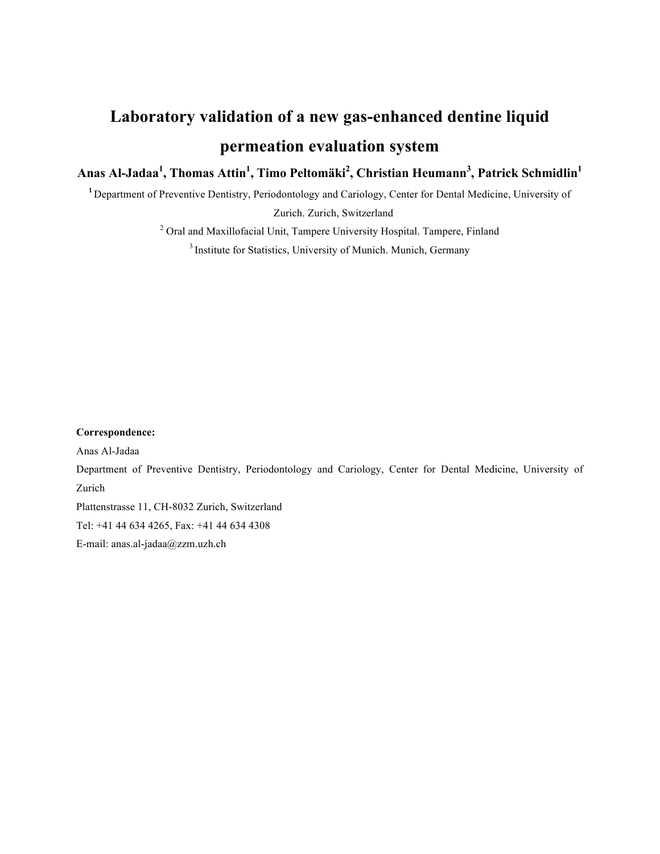# **Laboratory validation of a new gas-enhanced dentine liquid permeation evaluation system**

**Anas Al-Jadaa<sup>1</sup> , Thomas Attin<sup>1</sup> , Timo Peltomäki<sup>2</sup> , Christian Heumann<sup>3</sup> , Patrick Schmidlin<sup>1</sup>**

**<sup>1</sup>**Department of Preventive Dentistry, Periodontology and Cariology, Center for Dental Medicine, University of

Zurich. Zurich, Switzerland

<sup>2</sup> Oral and Maxillofacial Unit, Tampere University Hospital. Tampere, Finland

<sup>3</sup> Institute for Statistics, University of Munich. Munich, Germany

#### **Correspondence:**

Anas Al-Jadaa

Department of Preventive Dentistry, Periodontology and Cariology, Center for Dental Medicine, University of Zurich

Plattenstrasse 11, CH-8032 Zurich, Switzerland

Tel: +41 44 634 4265, Fax: +41 44 634 4308

E-mail: anas.al-jadaa@zzm.uzh.ch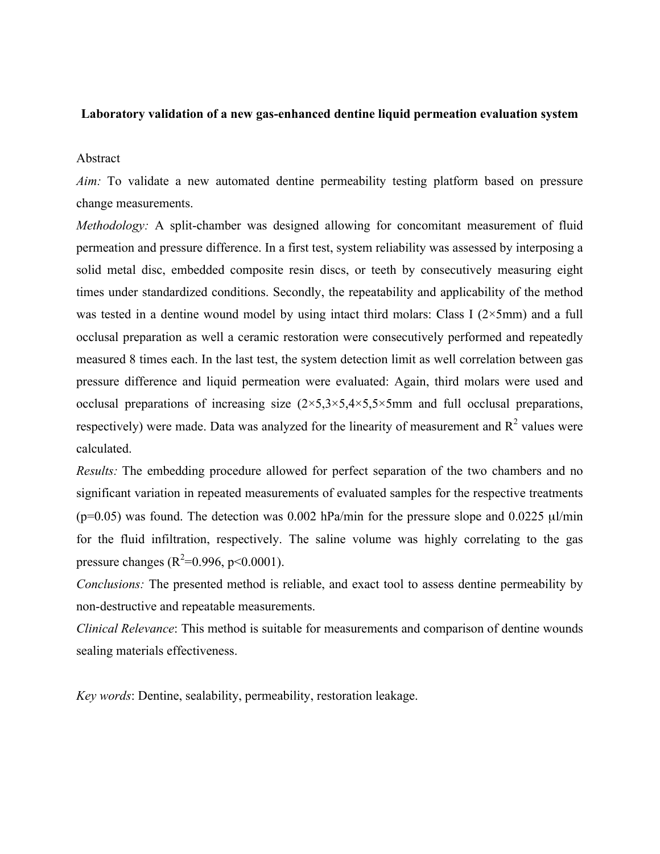## **Laboratory validation of a new gas-enhanced dentine liquid permeation evaluation system**

#### Abstract

*Aim:* To validate a new automated dentine permeability testing platform based on pressure change measurements.

*Methodology:* A split-chamber was designed allowing for concomitant measurement of fluid permeation and pressure difference. In a first test, system reliability was assessed by interposing a solid metal disc, embedded composite resin discs, or teeth by consecutively measuring eight times under standardized conditions. Secondly, the repeatability and applicability of the method was tested in a dentine wound model by using intact third molars: Class I  $(2 \times 5 \text{mm})$  and a full occlusal preparation as well a ceramic restoration were consecutively performed and repeatedly measured 8 times each. In the last test, the system detection limit as well correlation between gas pressure difference and liquid permeation were evaluated: Again, third molars were used and occlusal preparations of increasing size  $(2\times5,3\times5,4\times5,5\times5)$  and full occlusal preparations, respectively) were made. Data was analyzed for the linearity of measurement and  $R^2$  values were calculated.

*Results:* The embedding procedure allowed for perfect separation of the two chambers and no significant variation in repeated measurements of evaluated samples for the respective treatments ( $p=0.05$ ) was found. The detection was 0.002 hPa/min for the pressure slope and 0.0225  $\mu$ l/min for the fluid infiltration, respectively. The saline volume was highly correlating to the gas pressure changes ( $R^2$ =0.996, p<0.0001).

*Conclusions:* The presented method is reliable, and exact tool to assess dentine permeability by non-destructive and repeatable measurements.

*Clinical Relevance*: This method is suitable for measurements and comparison of dentine wounds sealing materials effectiveness.

*Key words*: Dentine, sealability, permeability, restoration leakage.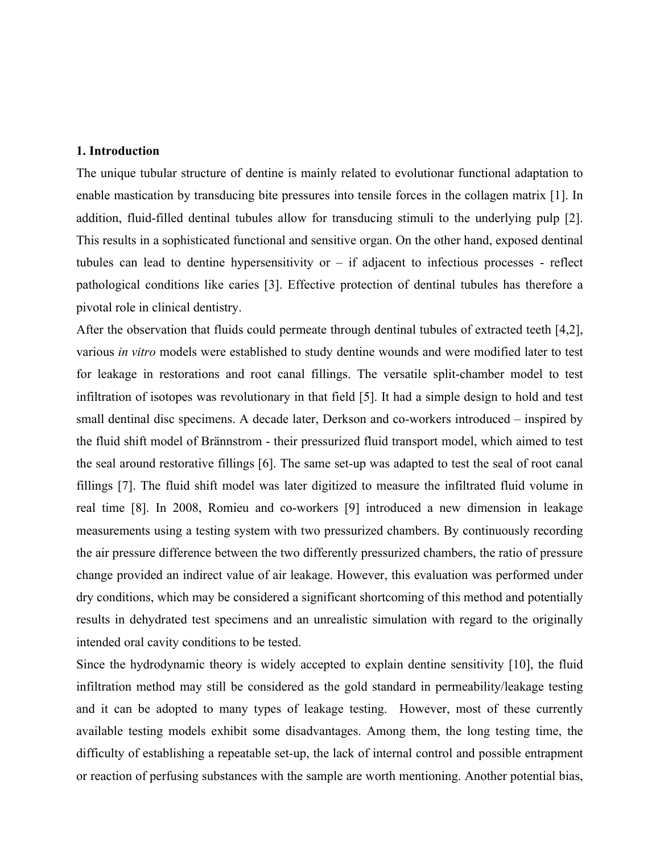#### **1. Introduction**

The unique tubular structure of dentine is mainly related to evolutionar functional adaptation to enable mastication by transducing bite pressures into tensile forces in the collagen matrix [1]. In addition, fluid-filled dentinal tubules allow for transducing stimuli to the underlying pulp [2]. This results in a sophisticated functional and sensitive organ. On the other hand, exposed dentinal tubules can lead to dentine hypersensitivity or  $-$  if adjacent to infectious processes - reflect pathological conditions like caries [3]. Effective protection of dentinal tubules has therefore a pivotal role in clinical dentistry.

After the observation that fluids could permeate through dentinal tubules of extracted teeth [4,2], various *in vitro* models were established to study dentine wounds and were modified later to test for leakage in restorations and root canal fillings. The versatile split-chamber model to test infiltration of isotopes was revolutionary in that field [5]. It had a simple design to hold and test small dentinal disc specimens. A decade later, Derkson and co-workers introduced – inspired by the fluid shift model of Brännstrom - their pressurized fluid transport model, which aimed to test the seal around restorative fillings [6]. The same set-up was adapted to test the seal of root canal fillings [7]. The fluid shift model was later digitized to measure the infiltrated fluid volume in real time [8]. In 2008, Romieu and co-workers [9] introduced a new dimension in leakage measurements using a testing system with two pressurized chambers. By continuously recording the air pressure difference between the two differently pressurized chambers, the ratio of pressure change provided an indirect value of air leakage. However, this evaluation was performed under dry conditions, which may be considered a significant shortcoming of this method and potentially results in dehydrated test specimens and an unrealistic simulation with regard to the originally intended oral cavity conditions to be tested.

Since the hydrodynamic theory is widely accepted to explain dentine sensitivity [10], the fluid infiltration method may still be considered as the gold standard in permeability/leakage testing and it can be adopted to many types of leakage testing. However, most of these currently available testing models exhibit some disadvantages. Among them, the long testing time, the difficulty of establishing a repeatable set-up, the lack of internal control and possible entrapment or reaction of perfusing substances with the sample are worth mentioning. Another potential bias,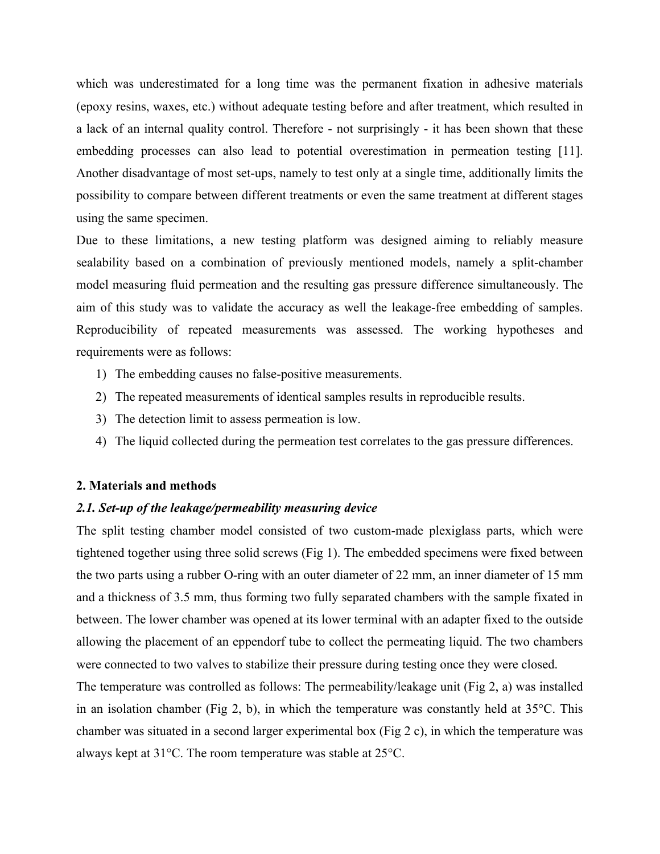which was underestimated for a long time was the permanent fixation in adhesive materials (epoxy resins, waxes, etc.) without adequate testing before and after treatment, which resulted in a lack of an internal quality control. Therefore - not surprisingly - it has been shown that these embedding processes can also lead to potential overestimation in permeation testing [11]. Another disadvantage of most set-ups, namely to test only at a single time, additionally limits the possibility to compare between different treatments or even the same treatment at different stages using the same specimen.

Due to these limitations, a new testing platform was designed aiming to reliably measure sealability based on a combination of previously mentioned models, namely a split-chamber model measuring fluid permeation and the resulting gas pressure difference simultaneously. The aim of this study was to validate the accuracy as well the leakage-free embedding of samples. Reproducibility of repeated measurements was assessed. The working hypotheses and requirements were as follows:

- 1) The embedding causes no false-positive measurements.
- 2) The repeated measurements of identical samples results in reproducible results.
- 3) The detection limit to assess permeation is low.
- 4) The liquid collected during the permeation test correlates to the gas pressure differences.

## **2. Materials and methods**

#### *2.1. Set-up of the leakage/permeability measuring device*

The split testing chamber model consisted of two custom-made plexiglass parts, which were tightened together using three solid screws (Fig 1). The embedded specimens were fixed between the two parts using a rubber O-ring with an outer diameter of 22 mm, an inner diameter of 15 mm and a thickness of 3.5 mm, thus forming two fully separated chambers with the sample fixated in between. The lower chamber was opened at its lower terminal with an adapter fixed to the outside allowing the placement of an eppendorf tube to collect the permeating liquid. The two chambers were connected to two valves to stabilize their pressure during testing once they were closed.

The temperature was controlled as follows: The permeability/leakage unit (Fig 2, a) was installed in an isolation chamber (Fig 2, b), in which the temperature was constantly held at  $35^{\circ}$ C. This chamber was situated in a second larger experimental box (Fig 2 c), in which the temperature was always kept at 31°C. The room temperature was stable at 25°C.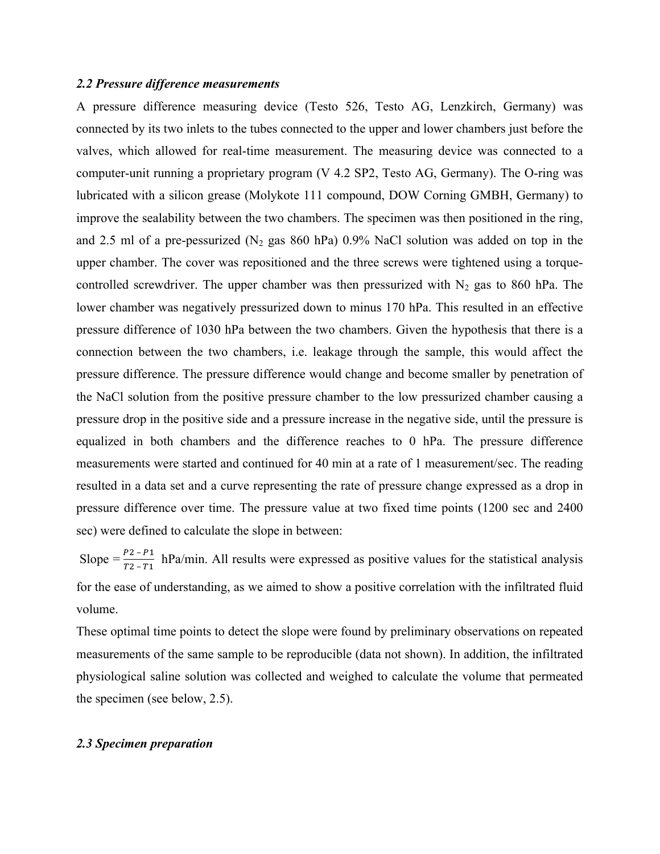#### *2.2 Pressure difference measurements*

A pressure difference measuring device (Testo 526, Testo AG, Lenzkirch, Germany) was connected by its two inlets to the tubes connected to the upper and lower chambers just before the valves, which allowed for real-time measurement. The measuring device was connected to a computer-unit running a proprietary program (V 4.2 SP2, Testo AG, Germany). The O-ring was lubricated with a silicon grease (Molykote 111 compound, DOW Corning GMBH, Germany) to improve the sealability between the two chambers. The specimen was then positioned in the ring, and 2.5 ml of a pre-pessurized ( $N_2$  gas 860 hPa) 0.9% NaCl solution was added on top in the upper chamber. The cover was repositioned and the three screws were tightened using a torquecontrolled screwdriver. The upper chamber was then pressurized with  $N_2$  gas to 860 hPa. The lower chamber was negatively pressurized down to minus 170 hPa. This resulted in an effective pressure difference of 1030 hPa between the two chambers. Given the hypothesis that there is a connection between the two chambers, i.e. leakage through the sample, this would affect the pressure difference. The pressure difference would change and become smaller by penetration of the NaCl solution from the positive pressure chamber to the low pressurized chamber causing a pressure drop in the positive side and a pressure increase in the negative side, until the pressure is equalized in both chambers and the difference reaches to 0 hPa. The pressure difference measurements were started and continued for 40 min at a rate of 1 measurement/sec. The reading resulted in a data set and a curve representing the rate of pressure change expressed as a drop in pressure difference over time. The pressure value at two fixed time points (1200 sec and 2400 sec) were defined to calculate the slope in between:

Slope =  $\frac{p_2 - p_1}{T_2 - T_1}$  hPa/min. All results were expressed as positive values for the statistical analysis for the ease of understanding, as we aimed to show a positive correlation with the infiltrated fluid volume.

These optimal time points to detect the slope were found by preliminary observations on repeated measurements of the same sample to be reproducible (data not shown). In addition, the infiltrated physiological saline solution was collected and weighed to calculate the volume that permeated the specimen (see below, 2.5).

#### *2.3 Specimen preparation*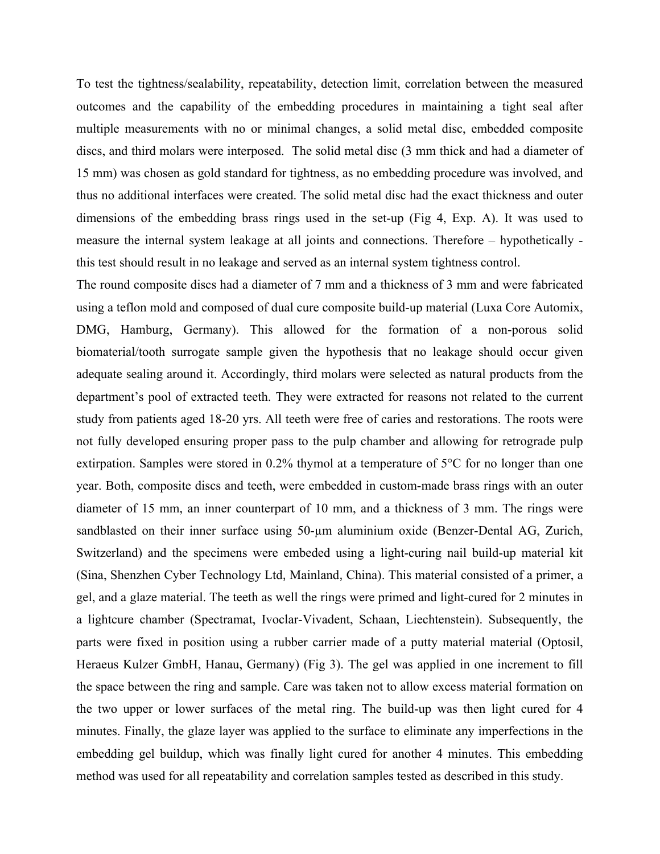To test the tightness/sealability, repeatability, detection limit, correlation between the measured outcomes and the capability of the embedding procedures in maintaining a tight seal after multiple measurements with no or minimal changes, a solid metal disc, embedded composite discs, and third molars were interposed. The solid metal disc (3 mm thick and had a diameter of 15 mm) was chosen as gold standard for tightness, as no embedding procedure was involved, and thus no additional interfaces were created. The solid metal disc had the exact thickness and outer dimensions of the embedding brass rings used in the set-up (Fig 4, Exp. A). It was used to measure the internal system leakage at all joints and connections. Therefore – hypothetically this test should result in no leakage and served as an internal system tightness control.

The round composite discs had a diameter of 7 mm and a thickness of 3 mm and were fabricated using a teflon mold and composed of dual cure composite build-up material (Luxa Core Automix, DMG, Hamburg, Germany). This allowed for the formation of a non-porous solid biomaterial/tooth surrogate sample given the hypothesis that no leakage should occur given adequate sealing around it. Accordingly, third molars were selected as natural products from the department's pool of extracted teeth. They were extracted for reasons not related to the current study from patients aged 18-20 yrs. All teeth were free of caries and restorations. The roots were not fully developed ensuring proper pass to the pulp chamber and allowing for retrograde pulp extirpation. Samples were stored in 0.2% thymol at a temperature of 5°C for no longer than one year. Both, composite discs and teeth, were embedded in custom-made brass rings with an outer diameter of 15 mm, an inner counterpart of 10 mm, and a thickness of 3 mm. The rings were sandblasted on their inner surface using 50-µm aluminium oxide (Benzer-Dental AG, Zurich, Switzerland) and the specimens were embeded using a light-curing nail build-up material kit (Sina, Shenzhen Cyber Technology Ltd, Mainland, China). This material consisted of a primer, a gel, and a glaze material. The teeth as well the rings were primed and light-cured for 2 minutes in a lightcure chamber (Spectramat, Ivoclar-Vivadent, Schaan, Liechtenstein). Subsequently, the parts were fixed in position using a rubber carrier made of a putty material material (Optosil, Heraeus Kulzer GmbH, Hanau, Germany) (Fig 3). The gel was applied in one increment to fill the space between the ring and sample. Care was taken not to allow excess material formation on the two upper or lower surfaces of the metal ring. The build-up was then light cured for 4 minutes. Finally, the glaze layer was applied to the surface to eliminate any imperfections in the embedding gel buildup, which was finally light cured for another 4 minutes. This embedding method was used for all repeatability and correlation samples tested as described in this study.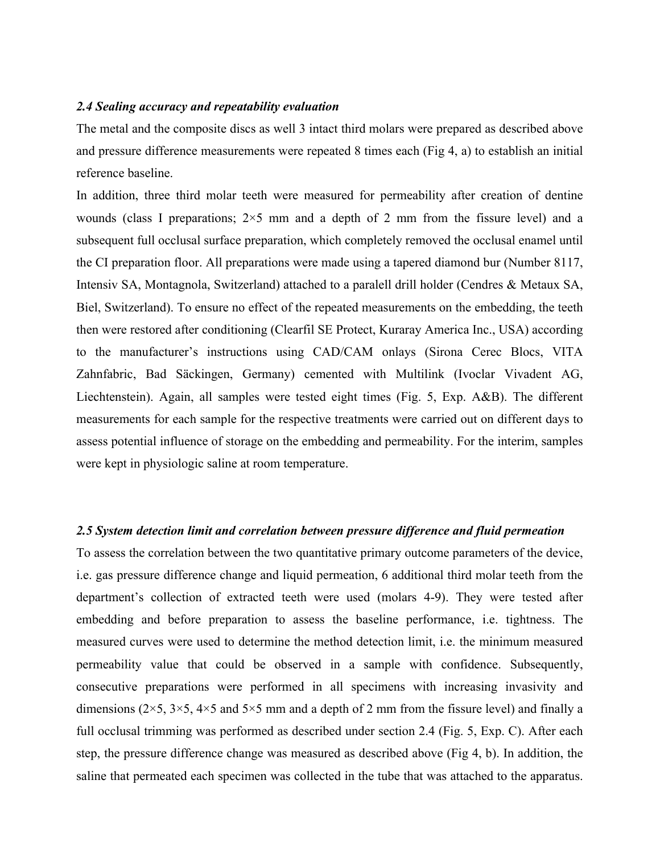#### *2.4 Sealing accuracy and repeatability evaluation*

The metal and the composite discs as well 3 intact third molars were prepared as described above and pressure difference measurements were repeated 8 times each (Fig 4, a) to establish an initial reference baseline.

In addition, three third molar teeth were measured for permeability after creation of dentine wounds (class I preparations;  $2\times5$  mm and a depth of 2 mm from the fissure level) and a subsequent full occlusal surface preparation, which completely removed the occlusal enamel until the CI preparation floor. All preparations were made using a tapered diamond bur (Number 8117, Intensiv SA, Montagnola, Switzerland) attached to a paralell drill holder (Cendres & Metaux SA, Biel, Switzerland). To ensure no effect of the repeated measurements on the embedding, the teeth then were restored after conditioning (Clearfil SE Protect, Kuraray America Inc., USA) according to the manufacturer's instructions using CAD/CAM onlays (Sirona Cerec Blocs, VITA Zahnfabric, Bad Säckingen, Germany) cemented with Multilink (Ivoclar Vivadent AG, Liechtenstein). Again, all samples were tested eight times (Fig. 5, Exp. A&B). The different measurements for each sample for the respective treatments were carried out on different days to assess potential influence of storage on the embedding and permeability. For the interim, samples were kept in physiologic saline at room temperature.

#### *2.5 System detection limit and correlation between pressure difference and fluid permeation*

To assess the correlation between the two quantitative primary outcome parameters of the device, i.e. gas pressure difference change and liquid permeation, 6 additional third molar teeth from the department's collection of extracted teeth were used (molars 4-9). They were tested after embedding and before preparation to assess the baseline performance, i.e. tightness. The measured curves were used to determine the method detection limit, i.e. the minimum measured permeability value that could be observed in a sample with confidence. Subsequently, consecutive preparations were performed in all specimens with increasing invasivity and dimensions ( $2\times5$ ,  $3\times5$ ,  $4\times5$  and  $5\times5$  mm and a depth of 2 mm from the fissure level) and finally a full occlusal trimming was performed as described under section 2.4 (Fig. 5, Exp. C). After each step, the pressure difference change was measured as described above (Fig 4, b). In addition, the saline that permeated each specimen was collected in the tube that was attached to the apparatus.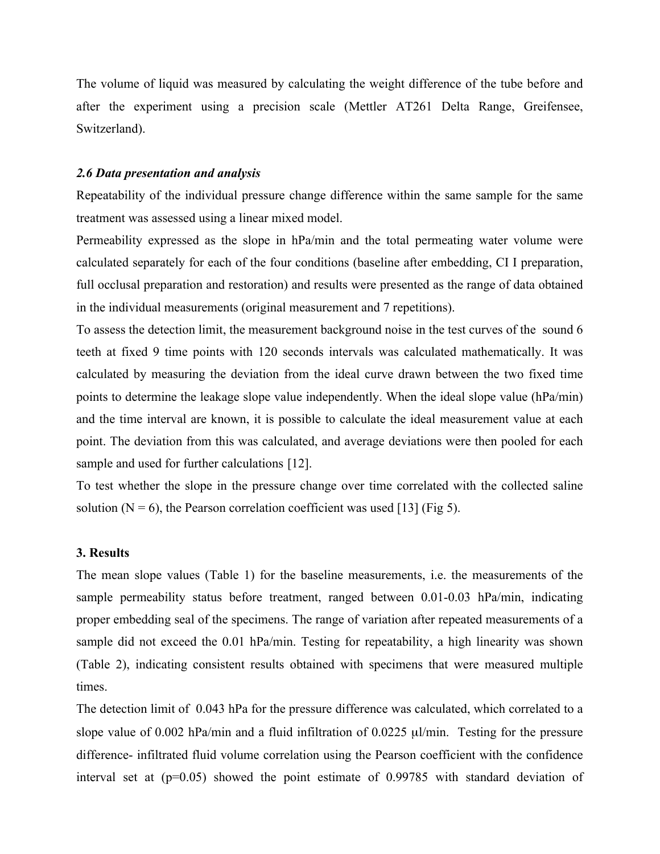The volume of liquid was measured by calculating the weight difference of the tube before and after the experiment using a precision scale (Mettler AT261 Delta Range, Greifensee, Switzerland).

#### *2.6 Data presentation and analysis*

Repeatability of the individual pressure change difference within the same sample for the same treatment was assessed using a linear mixed model.

Permeability expressed as the slope in hPa/min and the total permeating water volume were calculated separately for each of the four conditions (baseline after embedding, CI I preparation, full occlusal preparation and restoration) and results were presented as the range of data obtained in the individual measurements (original measurement and 7 repetitions).

To assess the detection limit, the measurement background noise in the test curves of the sound 6 teeth at fixed 9 time points with 120 seconds intervals was calculated mathematically. It was calculated by measuring the deviation from the ideal curve drawn between the two fixed time points to determine the leakage slope value independently. When the ideal slope value (hPa/min) and the time interval are known, it is possible to calculate the ideal measurement value at each point. The deviation from this was calculated, and average deviations were then pooled for each sample and used for further calculations [12].

To test whether the slope in the pressure change over time correlated with the collected saline solution ( $N = 6$ ), the Pearson correlation coefficient was used [13] (Fig 5).

#### **3. Results**

The mean slope values (Table 1) for the baseline measurements, i.e. the measurements of the sample permeability status before treatment, ranged between 0.01-0.03 hPa/min, indicating proper embedding seal of the specimens. The range of variation after repeated measurements of a sample did not exceed the 0.01 hPa/min. Testing for repeatability, a high linearity was shown (Table 2), indicating consistent results obtained with specimens that were measured multiple times.

The detection limit of 0.043 hPa for the pressure difference was calculated, which correlated to a slope value of  $0.002$  hPa/min and a fluid infiltration of  $0.0225 \mu$ l/min. Testing for the pressure difference- infiltrated fluid volume correlation using the Pearson coefficient with the confidence interval set at (p=0.05) showed the point estimate of 0.99785 with standard deviation of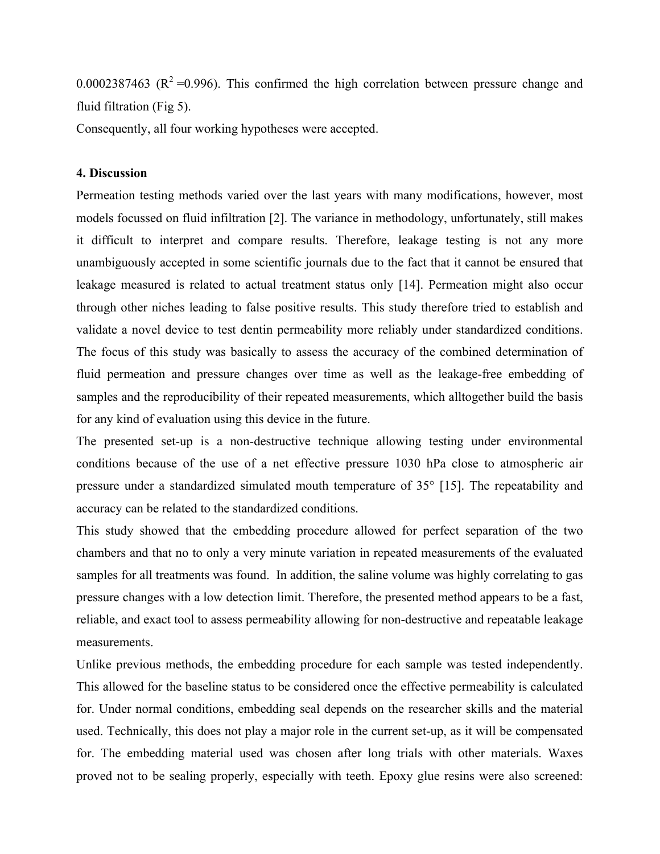0.0002387463 ( $R^2$ =0.996). This confirmed the high correlation between pressure change and fluid filtration (Fig 5).

Consequently, all four working hypotheses were accepted.

#### **4. Discussion**

Permeation testing methods varied over the last years with many modifications, however, most models focussed on fluid infiltration [2]. The variance in methodology, unfortunately, still makes it difficult to interpret and compare results. Therefore, leakage testing is not any more unambiguously accepted in some scientific journals due to the fact that it cannot be ensured that leakage measured is related to actual treatment status only [14]. Permeation might also occur through other niches leading to false positive results. This study therefore tried to establish and validate a novel device to test dentin permeability more reliably under standardized conditions. The focus of this study was basically to assess the accuracy of the combined determination of fluid permeation and pressure changes over time as well as the leakage-free embedding of samples and the reproducibility of their repeated measurements, which alltogether build the basis for any kind of evaluation using this device in the future.

The presented set-up is a non-destructive technique allowing testing under environmental conditions because of the use of a net effective pressure 1030 hPa close to atmospheric air pressure under a standardized simulated mouth temperature of 35° [15]. The repeatability and accuracy can be related to the standardized conditions.

This study showed that the embedding procedure allowed for perfect separation of the two chambers and that no to only a very minute variation in repeated measurements of the evaluated samples for all treatments was found. In addition, the saline volume was highly correlating to gas pressure changes with a low detection limit. Therefore, the presented method appears to be a fast, reliable, and exact tool to assess permeability allowing for non-destructive and repeatable leakage measurements.

Unlike previous methods, the embedding procedure for each sample was tested independently. This allowed for the baseline status to be considered once the effective permeability is calculated for. Under normal conditions, embedding seal depends on the researcher skills and the material used. Technically, this does not play a major role in the current set-up, as it will be compensated for. The embedding material used was chosen after long trials with other materials. Waxes proved not to be sealing properly, especially with teeth. Epoxy glue resins were also screened: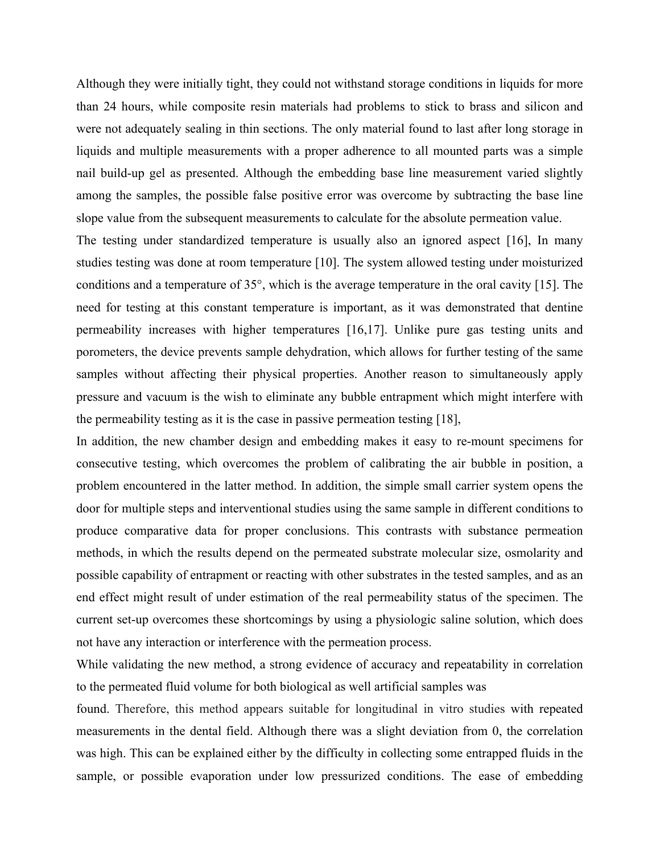Although they were initially tight, they could not withstand storage conditions in liquids for more than 24 hours, while composite resin materials had problems to stick to brass and silicon and were not adequately sealing in thin sections. The only material found to last after long storage in liquids and multiple measurements with a proper adherence to all mounted parts was a simple nail build-up gel as presented. Although the embedding base line measurement varied slightly among the samples, the possible false positive error was overcome by subtracting the base line slope value from the subsequent measurements to calculate for the absolute permeation value.

The testing under standardized temperature is usually also an ignored aspect [16], In many studies testing was done at room temperature [10]. The system allowed testing under moisturized conditions and a temperature of 35°, which is the average temperature in the oral cavity [15]. The need for testing at this constant temperature is important, as it was demonstrated that dentine permeability increases with higher temperatures [16,17]. Unlike pure gas testing units and porometers, the device prevents sample dehydration, which allows for further testing of the same samples without affecting their physical properties. Another reason to simultaneously apply pressure and vacuum is the wish to eliminate any bubble entrapment which might interfere with the permeability testing as it is the case in passive permeation testing [18],

In addition, the new chamber design and embedding makes it easy to re-mount specimens for consecutive testing, which overcomes the problem of calibrating the air bubble in position, a problem encountered in the latter method. In addition, the simple small carrier system opens the door for multiple steps and interventional studies using the same sample in different conditions to produce comparative data for proper conclusions. This contrasts with substance permeation methods, in which the results depend on the permeated substrate molecular size, osmolarity and possible capability of entrapment or reacting with other substrates in the tested samples, and as an end effect might result of under estimation of the real permeability status of the specimen. The current set-up overcomes these shortcomings by using a physiologic saline solution, which does not have any interaction or interference with the permeation process.

While validating the new method, a strong evidence of accuracy and repeatability in correlation to the permeated fluid volume for both biological as well artificial samples was

found. Therefore, this method appears suitable for longitudinal in vitro studies with repeated measurements in the dental field. Although there was a slight deviation from 0, the correlation was high. This can be explained either by the difficulty in collecting some entrapped fluids in the sample, or possible evaporation under low pressurized conditions. The ease of embedding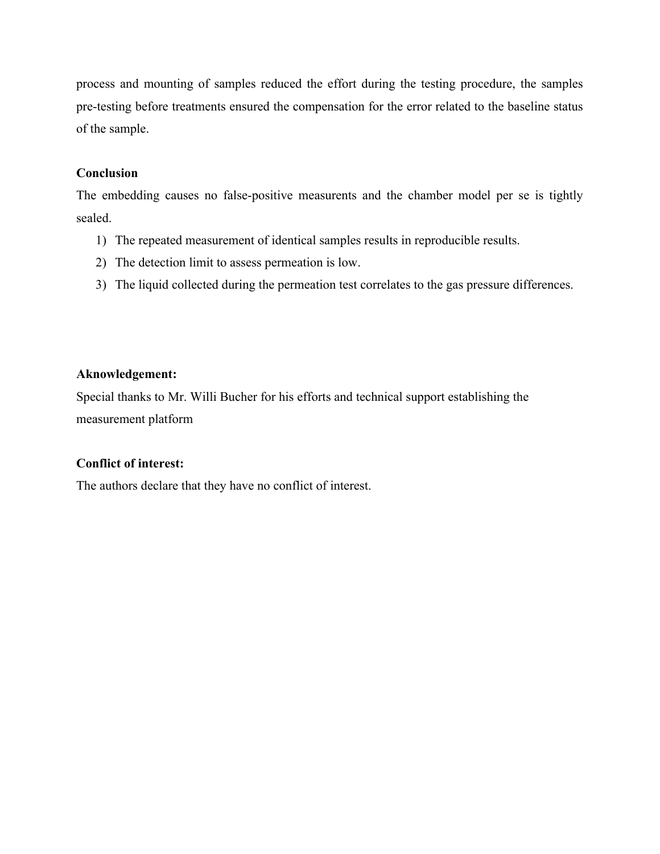process and mounting of samples reduced the effort during the testing procedure, the samples pre-testing before treatments ensured the compensation for the error related to the baseline status of the sample.

## **Conclusion**

The embedding causes no false-positive measurents and the chamber model per se is tightly sealed.

- 1) The repeated measurement of identical samples results in reproducible results.
- 2) The detection limit to assess permeation is low.
- 3) The liquid collected during the permeation test correlates to the gas pressure differences.

# **Aknowledgement:**

Special thanks to Mr. Willi Bucher for his efforts and technical support establishing the measurement platform

# **Conflict of interest:**

The authors declare that they have no conflict of interest.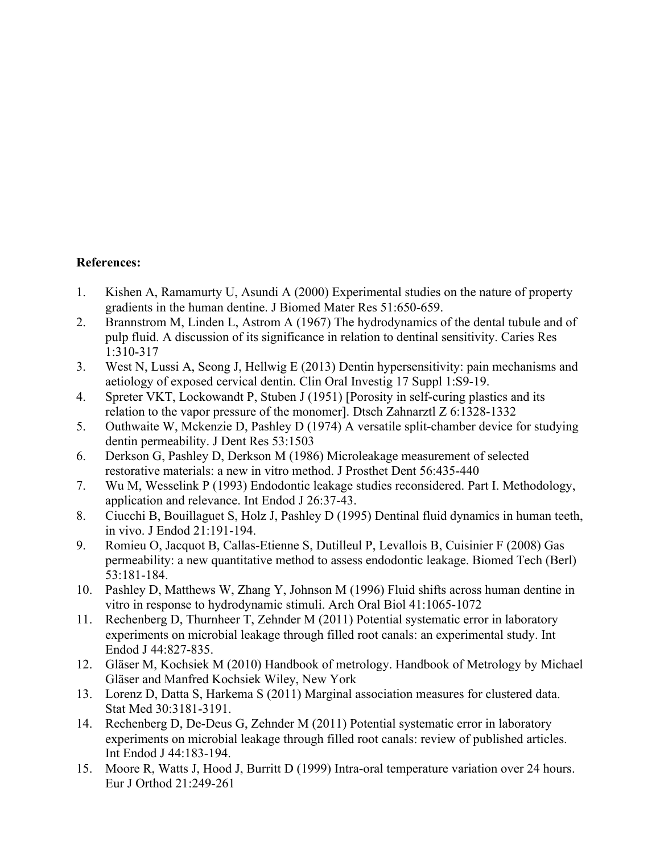## **References:**

- 1. Kishen A, Ramamurty U, Asundi A (2000) Experimental studies on the nature of property gradients in the human dentine. J Biomed Mater Res 51:650-659.
- 2. Brannstrom M, Linden L, Astrom A (1967) The hydrodynamics of the dental tubule and of pulp fluid. A discussion of its significance in relation to dentinal sensitivity. Caries Res 1:310-317
- 3. West N, Lussi A, Seong J, Hellwig E (2013) Dentin hypersensitivity: pain mechanisms and aetiology of exposed cervical dentin. Clin Oral Investig 17 Suppl 1:S9-19.
- 4. Spreter VKT, Lockowandt P, Stuben J (1951) [Porosity in self-curing plastics and its relation to the vapor pressure of the monomer]. Dtsch Zahnarztl Z 6:1328-1332
- 5. Outhwaite W, Mckenzie D, Pashley D (1974) A versatile split-chamber device for studying dentin permeability. J Dent Res 53:1503
- 6. Derkson G, Pashley D, Derkson M (1986) Microleakage measurement of selected restorative materials: a new in vitro method. J Prosthet Dent 56:435-440
- 7. Wu M, Wesselink P (1993) Endodontic leakage studies reconsidered. Part I. Methodology, application and relevance. Int Endod J 26:37-43.
- 8. Ciucchi B, Bouillaguet S, Holz J, Pashley D (1995) Dentinal fluid dynamics in human teeth, in vivo. J Endod 21:191-194.
- 9. Romieu O, Jacquot B, Callas-Etienne S, Dutilleul P, Levallois B, Cuisinier F (2008) Gas permeability: a new quantitative method to assess endodontic leakage. Biomed Tech (Berl) 53:181-184.
- 10. Pashley D, Matthews W, Zhang Y, Johnson M (1996) Fluid shifts across human dentine in vitro in response to hydrodynamic stimuli. Arch Oral Biol 41:1065-1072
- 11. Rechenberg D, Thurnheer T, Zehnder M (2011) Potential systematic error in laboratory experiments on microbial leakage through filled root canals: an experimental study. Int Endod J 44:827-835.
- 12. Gläser M, Kochsiek M (2010) Handbook of metrology. Handbook of Metrology by Michael Gläser and Manfred Kochsiek Wiley, New York
- 13. Lorenz D, Datta S, Harkema S (2011) Marginal association measures for clustered data. Stat Med 30:3181-3191.
- 14. Rechenberg D, De-Deus G, Zehnder M (2011) Potential systematic error in laboratory experiments on microbial leakage through filled root canals: review of published articles. Int Endod J 44:183-194.
- 15. Moore R, Watts J, Hood J, Burritt D (1999) Intra-oral temperature variation over 24 hours. Eur J Orthod 21:249-261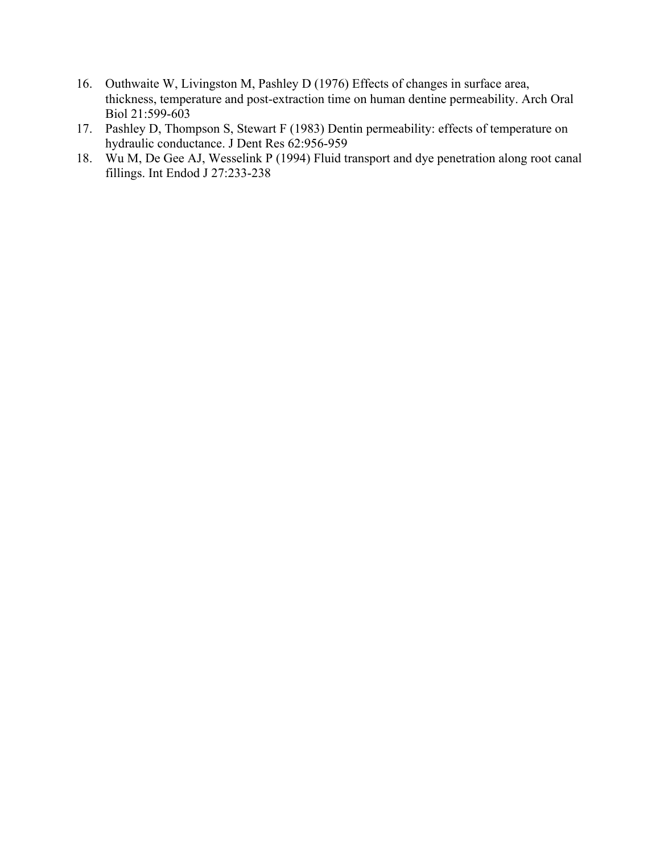- 16. Outhwaite W, Livingston M, Pashley D (1976) Effects of changes in surface area, thickness, temperature and post-extraction time on human dentine permeability. Arch Oral Biol 21:599-603
- 17. Pashley D, Thompson S, Stewart F (1983) Dentin permeability: effects of temperature on hydraulic conductance. J Dent Res 62:956-959
- 18. Wu M, De Gee AJ, Wesselink P (1994) Fluid transport and dye penetration along root canal fillings. Int Endod J 27:233-238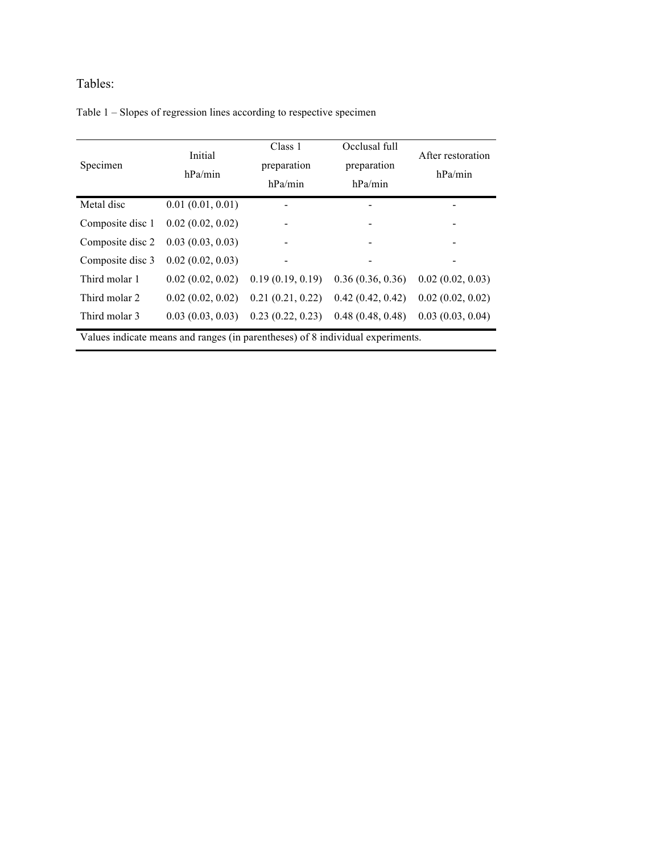# Tables:

|  |  |  | Table 1 – Slopes of regression lines according to respective specimen |  |  |
|--|--|--|-----------------------------------------------------------------------|--|--|
|  |  |  |                                                                       |  |  |

| Specimen                                                                       | Initial<br>hPa/min | Class 1<br>preparation<br>hPa/min | Occlusal full<br>preparation<br>hPa/min | After restoration<br>hPa/min |  |  |
|--------------------------------------------------------------------------------|--------------------|-----------------------------------|-----------------------------------------|------------------------------|--|--|
| Metal disc                                                                     | 0.01(0.01, 0.01)   |                                   |                                         |                              |  |  |
| Composite disc 1                                                               | 0.02(0.02, 0.02)   |                                   |                                         |                              |  |  |
| Composite disc 2                                                               | 0.03(0.03, 0.03)   |                                   |                                         |                              |  |  |
| Composite disc 3                                                               | 0.02(0.02, 0.03)   |                                   | -                                       |                              |  |  |
| Third molar 1                                                                  | 0.02(0.02, 0.02)   | 0.19(0.19, 0.19)                  | 0.36(0.36, 0.36)                        | 0.02(0.02, 0.03)             |  |  |
| Third molar 2                                                                  | 0.02(0.02, 0.02)   | 0.21(0.21, 0.22)                  | 0.42(0.42, 0.42)                        | 0.02(0.02, 0.02)             |  |  |
| Third molar 3                                                                  | 0.03(0.03, 0.03)   | 0.23(0.22, 0.23)                  | 0.48(0.48, 0.48)                        | 0.03(0.03, 0.04)             |  |  |
| Values indicate means and ranges (in parentheses) of 8 individual experiments. |                    |                                   |                                         |                              |  |  |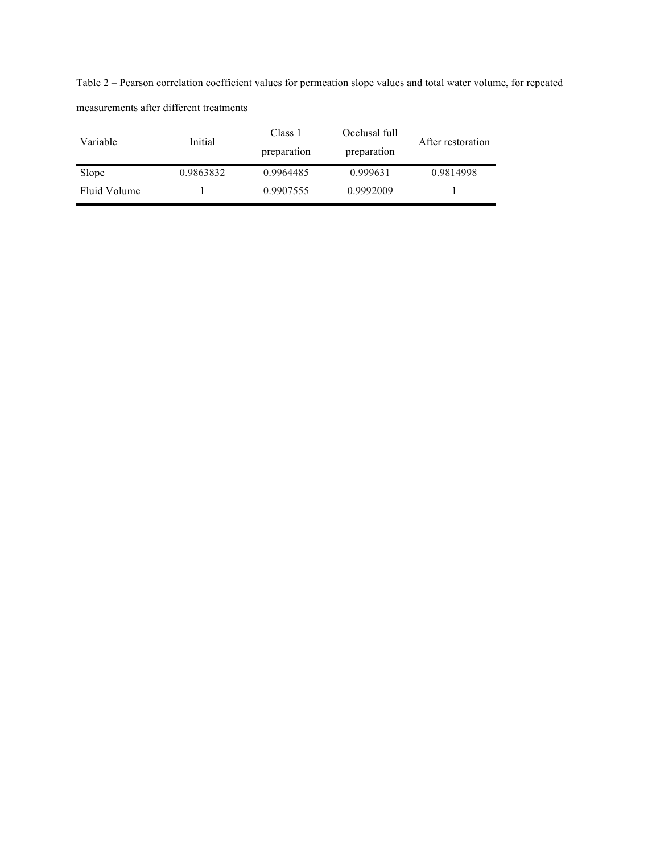Table 2 – Pearson correlation coefficient values for permeation slope values and total water volume, for repeated measurements after different treatments

| Variable     | Initial   | Class 1<br>preparation | Occlusal full<br>preparation | After restoration |
|--------------|-----------|------------------------|------------------------------|-------------------|
| Slope        | 0.9863832 | 0.9964485              | 0.999631                     | 0.9814998         |
| Fluid Volume |           | 0.9907555              | 0.9992009                    |                   |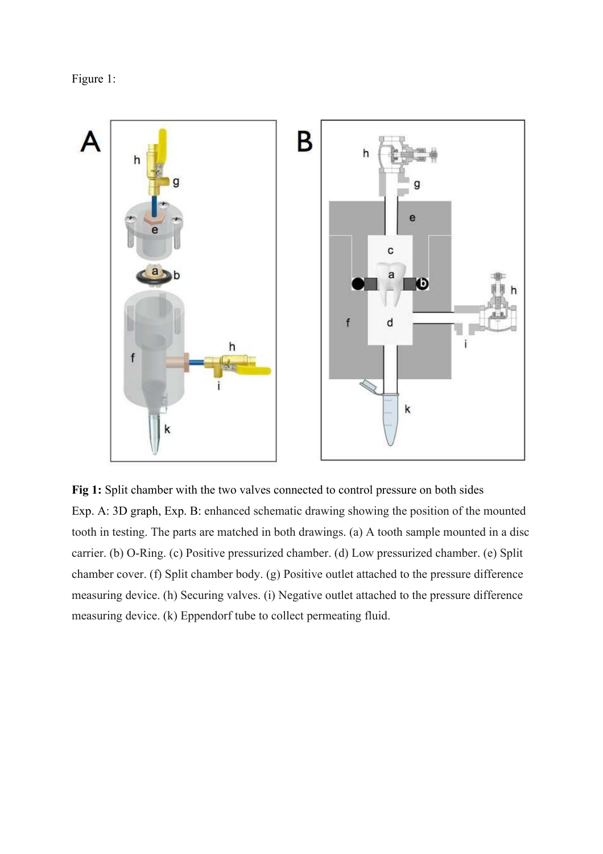Figure 1:



**Fig 1:** Split chamber with the two valves connected to control pressure on both sides Exp. A: 3D graph, Exp. B: enhanced schematic drawing showing the position of the mounted tooth in testing. The parts are matched in both drawings. (a) A tooth sample mounted in a disc carrier. (b) O-Ring. (c) Positive pressurized chamber. (d) Low pressurized chamber. (e) Split chamber cover. (f) Split chamber body. (g) Positive outlet attached to the pressure difference measuring device. (h) Securing valves. (i) Negative outlet attached to the pressure difference measuring device. (k) Eppendorf tube to collect permeating fluid.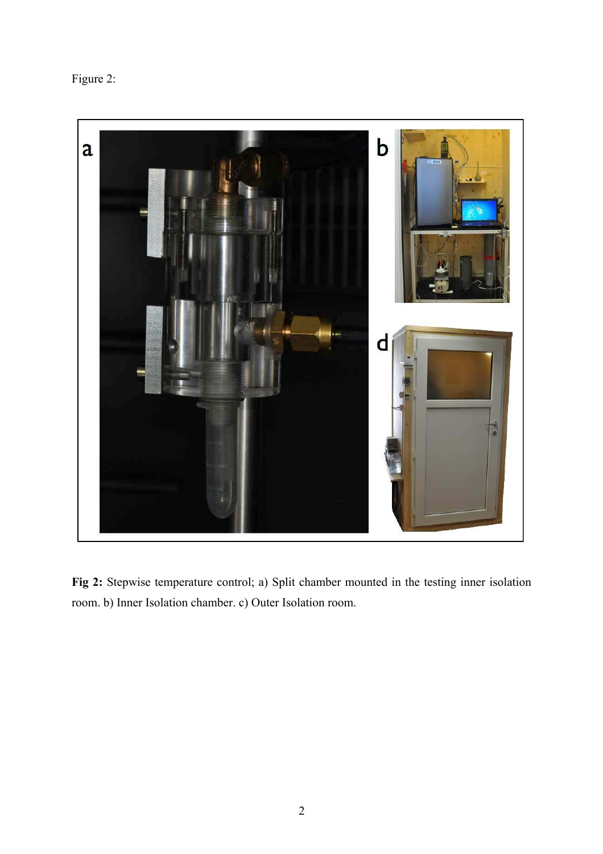Figure 2:



**Fig 2:** Stepwise temperature control; a) Split chamber mounted in the testing inner isolation room. b) Inner Isolation chamber. c) Outer Isolation room.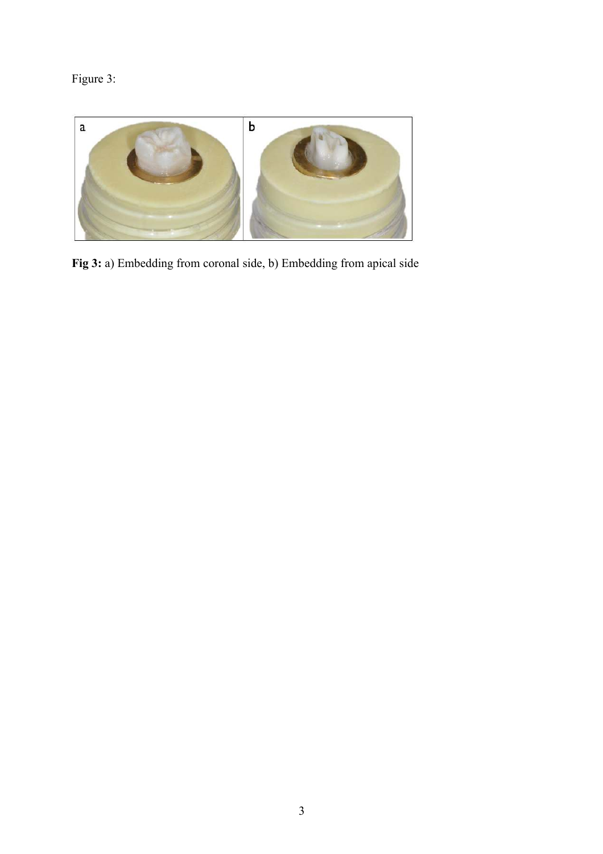Figure 3:



**Fig 3:** a) Embedding from coronal side, b) Embedding from apical side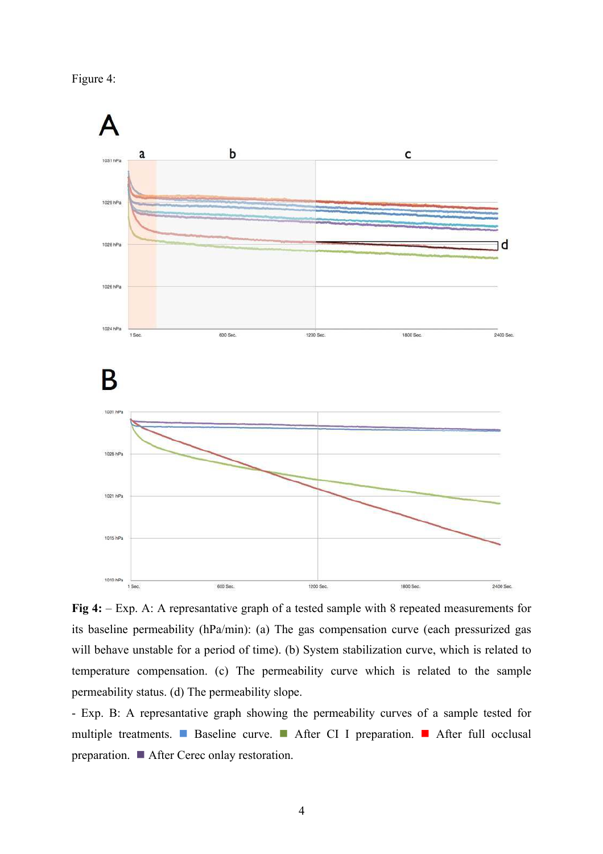



**Fig 4:** – Exp. A: A represantative graph of a tested sample with 8 repeated measurements for its baseline permeability (hPa/min): (a) The gas compensation curve (each pressurized gas will behave unstable for a period of time). (b) System stabilization curve, which is related to temperature compensation. (c) The permeability curve which is related to the sample permeability status. (d) The permeability slope.

- Exp. B: A represantative graph showing the permeability curves of a sample tested for multiple treatments. Baseline curve. After CI I preparation. After full occlusal preparation. After Cerec onlay restoration.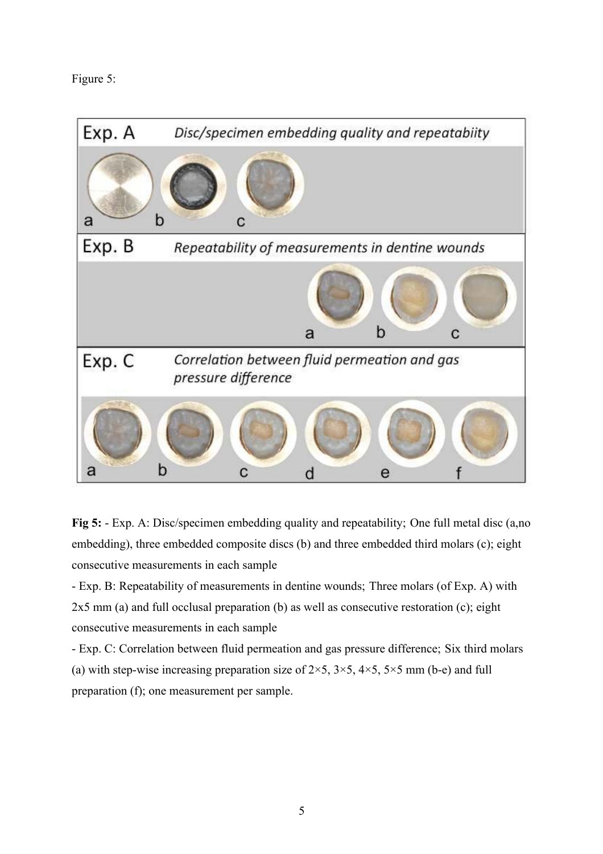# Figure 5:



**Fig 5:** - Exp. A: Disc/specimen embedding quality and repeatability; One full metal disc (a,no embedding), three embedded composite discs (b) and three embedded third molars (c); eight consecutive measurements in each sample

- Exp. B: Repeatability of measurements in dentine wounds; Three molars (of Exp. A) with 2x5 mm (a) and full occlusal preparation (b) as well as consecutive restoration (c); eight consecutive measurements in each sample

- Exp. C: Correlation between fluid permeation and gas pressure difference; Six third molars (a) with step-wise increasing preparation size of  $2\times 5$ ,  $3\times 5$ ,  $4\times 5$ ,  $5\times 5$  mm (b-e) and full preparation (f); one measurement per sample.